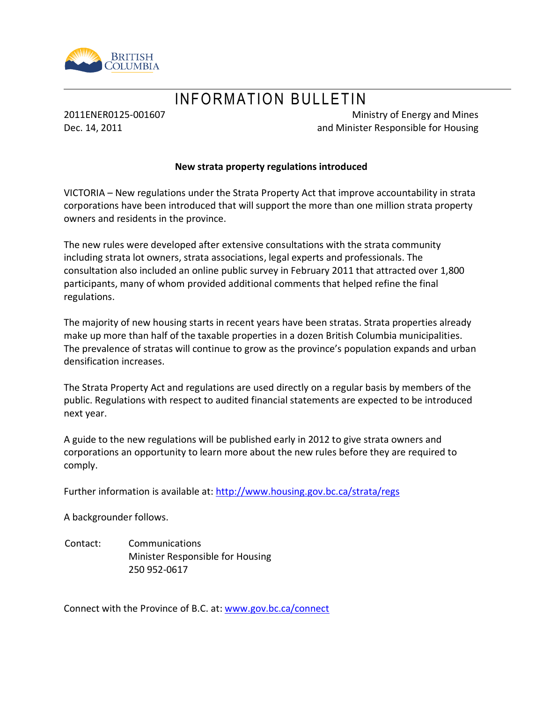

# INFORMATION BULLETIN

2011ENER0125-001607 Dec. 14, 2011

Ministry of Energy and Mines and Minister Responsible for Housing

#### **New strata property regulations introduced**

VICTORIA – New regulations under the Strata Property Act that improve accountability in strata corporations have been introduced that will support the more than one million strata property owners and residents in the province.

The new rules were developed after extensive consultations with the strata community including strata lot owners, strata associations, legal experts and professionals. The consultation also included an online public survey in February 2011 that attracted over 1,800 participants, many of whom provided additional comments that helped refine the final regulations.

The majority of new housing starts in recent years have been stratas. Strata properties already make up more than half of the taxable properties in a dozen British Columbia municipalities. The prevalence of stratas will continue to grow as the province's population expands and urban densification increases.

The Strata Property Act and regulations are used directly on a regular basis by members of the public. Regulations with respect to audited financial statements are expected to be introduced next year.

A guide to the new regulations will be published early in 2012 to give strata owners and corporations an opportunity to learn more about the new rules before they are required to comply.

Further information is available at:<http://www.housing.gov.bc.ca/strata/regs>

A backgrounder follows.

Contact: Communications Minister Responsible for Housing 250 952-0617

Connect with the Province of B.C. at: [www.gov.bc.ca/connect](http://www.gov.bc.ca/connect)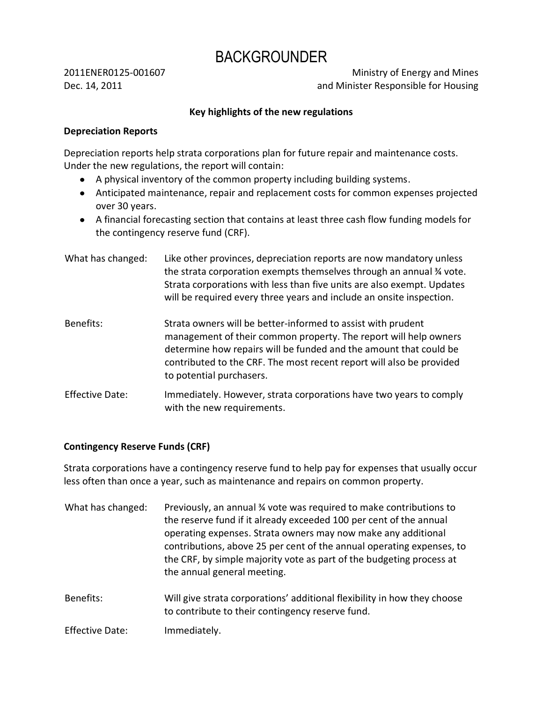# BACKGROUNDER

2011ENER0125-001607 Dec. 14, 2011

Ministry of Energy and Mines and Minister Responsible for Housing

## **Key highlights of the new regulations**

#### **Depreciation Reports**

Depreciation reports help strata corporations plan for future repair and maintenance costs. Under the new regulations, the report will contain:

- A physical inventory of the common property including building systems.
- Anticipated maintenance, repair and replacement costs for common expenses projected over 30 years.
- A financial forecasting section that contains at least three cash flow funding models for the contingency reserve fund (CRF).
- What has changed: Like other provinces, depreciation reports are now mandatory unless the strata corporation exempts themselves through an annual ¾ vote. Strata corporations with less than five units are also exempt. Updates will be required every three years and include an onsite inspection. Benefits: Strata owners will be better-informed to assist with prudent management of their common property. The report will help owners determine how repairs will be funded and the amount that could be contributed to the CRF. The most recent report will also be provided
- Effective Date: Immediately. However, strata corporations have two years to comply with the new requirements.

to potential purchasers.

#### **Contingency Reserve Funds (CRF)**

Strata corporations have a contingency reserve fund to help pay for expenses that usually occur less often than once a year, such as maintenance and repairs on common property.

| What has changed:      | Previously, an annual % vote was required to make contributions to<br>the reserve fund if it already exceeded 100 per cent of the annual<br>operating expenses. Strata owners may now make any additional<br>contributions, above 25 per cent of the annual operating expenses, to<br>the CRF, by simple majority vote as part of the budgeting process at<br>the annual general meeting. |
|------------------------|-------------------------------------------------------------------------------------------------------------------------------------------------------------------------------------------------------------------------------------------------------------------------------------------------------------------------------------------------------------------------------------------|
| Benefits:              | Will give strata corporations' additional flexibility in how they choose<br>to contribute to their contingency reserve fund.                                                                                                                                                                                                                                                              |
| <b>Effective Date:</b> | Immediately.                                                                                                                                                                                                                                                                                                                                                                              |